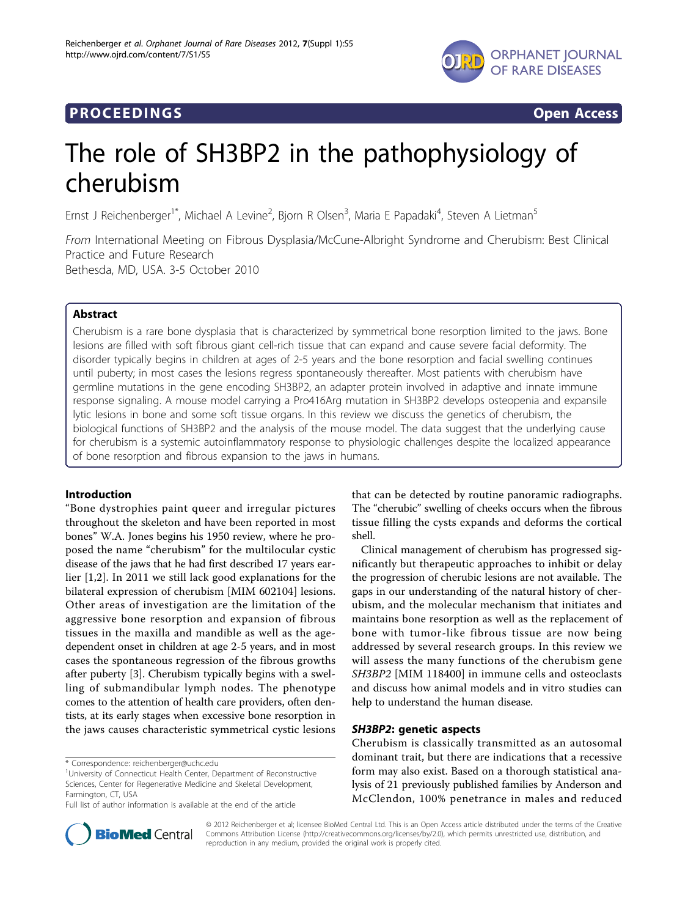

# **PROCEEDINGS STATES CONSUMING S**

# The role of SH3BP2 in the pathophysiology of cherubism

Ernst J Reichenberger<sup>1\*</sup>, Michael A Levine<sup>2</sup>, Bjorn R Olsen<sup>3</sup>, Maria E Papadaki<sup>4</sup>, Steven A Lietman<sup>5</sup>

From International Meeting on Fibrous Dysplasia/McCune-Albright Syndrome and Cherubism: Best Clinical Practice and Future Research Bethesda, MD, USA. 3-5 October 2010

# Abstract

Cherubism is a rare bone dysplasia that is characterized by symmetrical bone resorption limited to the jaws. Bone lesions are filled with soft fibrous giant cell-rich tissue that can expand and cause severe facial deformity. The disorder typically begins in children at ages of 2-5 years and the bone resorption and facial swelling continues until puberty; in most cases the lesions regress spontaneously thereafter. Most patients with cherubism have germline mutations in the gene encoding SH3BP2, an adapter protein involved in adaptive and innate immune response signaling. A mouse model carrying a Pro416Arg mutation in SH3BP2 develops osteopenia and expansile lytic lesions in bone and some soft tissue organs. In this review we discuss the genetics of cherubism, the biological functions of SH3BP2 and the analysis of the mouse model. The data suggest that the underlying cause for cherubism is a systemic autoinflammatory response to physiologic challenges despite the localized appearance of bone resorption and fibrous expansion to the jaws in humans.

# Introduction

"Bone dystrophies paint queer and irregular pictures throughout the skeleton and have been reported in most bones" W.A. Jones begins his 1950 review, where he proposed the name "cherubism" for the multilocular cystic disease of the jaws that he had first described 17 years earlier [\[1](#page-9-0),[2\]](#page-9-0). In 2011 we still lack good explanations for the bilateral expression of cherubism [MIM 602104] lesions. Other areas of investigation are the limitation of the aggressive bone resorption and expansion of fibrous tissues in the maxilla and mandible as well as the agedependent onset in children at age 2-5 years, and in most cases the spontaneous regression of the fibrous growths after puberty [\[3](#page-9-0)]. Cherubism typically begins with a swelling of submandibular lymph nodes. The phenotype comes to the attention of health care providers, often dentists, at its early stages when excessive bone resorption in the jaws causes characteristic symmetrical cystic lesions

that can be detected by routine panoramic radiographs. The "cherubic" swelling of cheeks occurs when the fibrous tissue filling the cysts expands and deforms the cortical shell.

Clinical management of cherubism has progressed significantly but therapeutic approaches to inhibit or delay the progression of cherubic lesions are not available. The gaps in our understanding of the natural history of cherubism, and the molecular mechanism that initiates and maintains bone resorption as well as the replacement of bone with tumor-like fibrous tissue are now being addressed by several research groups. In this review we will assess the many functions of the cherubism gene SH3BP2 [MIM 118400] in immune cells and osteoclasts and discuss how animal models and in vitro studies can help to understand the human disease.

# SH3BP2: genetic aspects

Cherubism is classically transmitted as an autosomal dominant trait, but there are indications that a recessive form may also exist. Based on a thorough statistical analysis of 21 previously published families by Anderson and McClendon, 100% penetrance in males and reduced



© 2012 Reichenberger et al; licensee BioMed Central Ltd. This is an Open Access article distributed under the terms of the Creative Commons Attribution License [\(http://creativecommons.org/licenses/by/2.0](http://creativecommons.org/licenses/by/2.0)), which permits unrestricted use, distribution, and reproduction in any medium, provided the original work is properly cited.

<sup>\*</sup> Correspondence: [reichenberger@uchc.edu](mailto:reichenberger@uchc.edu)

<sup>&</sup>lt;sup>1</sup>University of Connecticut Health Center, Department of Reconstructive Sciences, Center for Regenerative Medicine and Skeletal Development, Farmington, CT, USA

Full list of author information is available at the end of the article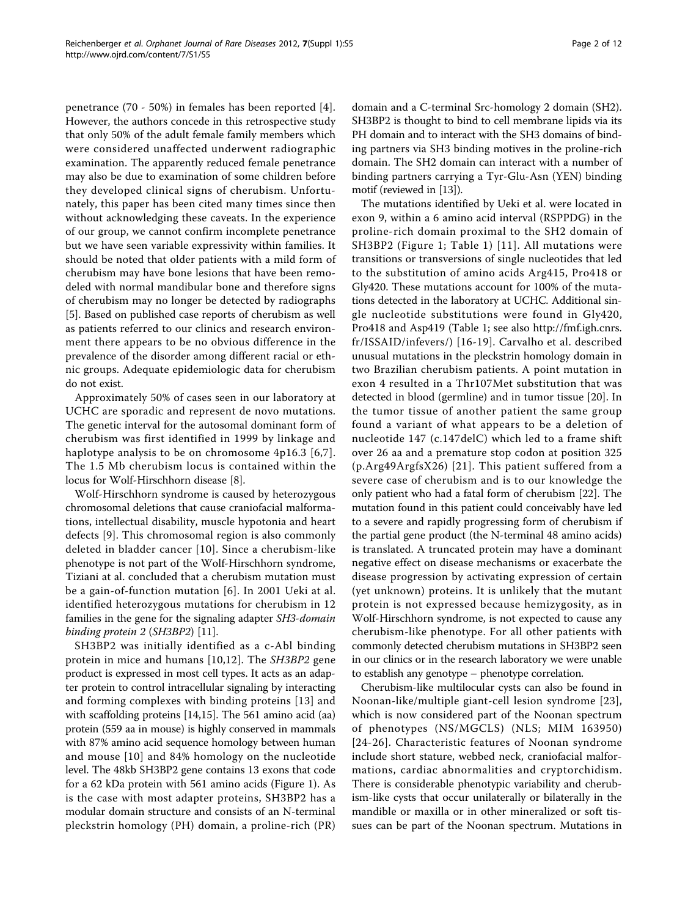penetrance (70 - 50%) in females has been reported [[4\]](#page-9-0). However, the authors concede in this retrospective study that only 50% of the adult female family members which were considered unaffected underwent radiographic examination. The apparently reduced female penetrance may also be due to examination of some children before they developed clinical signs of cherubism. Unfortunately, this paper has been cited many times since then without acknowledging these caveats. In the experience of our group, we cannot confirm incomplete penetrance but we have seen variable expressivity within families. It should be noted that older patients with a mild form of cherubism may have bone lesions that have been remodeled with normal mandibular bone and therefore signs of cherubism may no longer be detected by radiographs [[5\]](#page-9-0). Based on published case reports of cherubism as well as patients referred to our clinics and research environment there appears to be no obvious difference in the prevalence of the disorder among different racial or ethnic groups. Adequate epidemiologic data for cherubism do not exist.

Approximately 50% of cases seen in our laboratory at UCHC are sporadic and represent de novo mutations. The genetic interval for the autosomal dominant form of cherubism was first identified in 1999 by linkage and haplotype analysis to be on chromosome 4p16.3 [[6](#page-9-0),[7\]](#page-9-0). The 1.5 Mb cherubism locus is contained within the locus for Wolf-Hirschhorn disease [\[8](#page-9-0)].

Wolf-Hirschhorn syndrome is caused by heterozygous chromosomal deletions that cause craniofacial malformations, intellectual disability, muscle hypotonia and heart defects [[9](#page-9-0)]. This chromosomal region is also commonly deleted in bladder cancer [[10](#page-9-0)]. Since a cherubism-like phenotype is not part of the Wolf-Hirschhorn syndrome, Tiziani at al. concluded that a cherubism mutation must be a gain-of-function mutation [[6\]](#page-9-0). In 2001 Ueki at al. identified heterozygous mutations for cherubism in 12 families in the gene for the signaling adapter SH3-domain binding protein 2 (SH3BP2) [\[11\]](#page-9-0).

SH3BP2 was initially identified as a c-Abl binding protein in mice and humans [[10,12\]](#page-9-0). The SH3BP2 gene product is expressed in most cell types. It acts as an adapter protein to control intracellular signaling by interacting and forming complexes with binding proteins [[13\]](#page-9-0) and with scaffolding proteins [\[14,15\]](#page-9-0). The 561 amino acid (aa) protein (559 aa in mouse) is highly conserved in mammals with 87% amino acid sequence homology between human and mouse [[10](#page-9-0)] and 84% homology on the nucleotide level. The 48kb SH3BP2 gene contains 13 exons that code for a 62 kDa protein with 561 amino acids (Figure [1\)](#page-2-0). As is the case with most adapter proteins, SH3BP2 has a modular domain structure and consists of an N-terminal pleckstrin homology (PH) domain, a proline-rich (PR) domain and a C-terminal Src-homology 2 domain (SH2). SH3BP2 is thought to bind to cell membrane lipids via its PH domain and to interact with the SH3 domains of binding partners via SH3 binding motives in the proline-rich domain. The SH2 domain can interact with a number of binding partners carrying a Tyr-Glu-Asn (YEN) binding motif (reviewed in [\[13\]](#page-9-0)).

The mutations identified by Ueki et al. were located in exon 9, within a 6 amino acid interval (RSPPDG) in the proline-rich domain proximal to the SH2 domain of SH3BP2 (Figure [1](#page-2-0); Table [1](#page-2-0)) [[11](#page-9-0)]. All mutations were transitions or transversions of single nucleotides that led to the substitution of amino acids Arg415, Pro418 or Gly420. These mutations account for 100% of the mutations detected in the laboratory at UCHC. Additional single nucleotide substitutions were found in Gly420, Pro418 and Asp419 (Table [1](#page-2-0); see also [http://fmf.igh.cnrs.](http://fmf.igh.cnrs.fr/ISSAID/infevers/) [fr/ISSAID/infevers/](http://fmf.igh.cnrs.fr/ISSAID/infevers/)) [[16](#page-9-0)-[19](#page-9-0)]. Carvalho et al. described unusual mutations in the pleckstrin homology domain in two Brazilian cherubism patients. A point mutation in exon 4 resulted in a Thr107Met substitution that was detected in blood (germline) and in tumor tissue [[20\]](#page-9-0). In the tumor tissue of another patient the same group found a variant of what appears to be a deletion of nucleotide 147 (c.147delC) which led to a frame shift over 26 aa and a premature stop codon at position 325 (p.Arg49ArgfsX26) [[21](#page-9-0)]. This patient suffered from a severe case of cherubism and is to our knowledge the only patient who had a fatal form of cherubism [\[22](#page-9-0)]. The mutation found in this patient could conceivably have led to a severe and rapidly progressing form of cherubism if the partial gene product (the N-terminal 48 amino acids) is translated. A truncated protein may have a dominant negative effect on disease mechanisms or exacerbate the disease progression by activating expression of certain (yet unknown) proteins. It is unlikely that the mutant protein is not expressed because hemizygosity, as in Wolf-Hirschhorn syndrome, is not expected to cause any cherubism-like phenotype. For all other patients with commonly detected cherubism mutations in SH3BP2 seen in our clinics or in the research laboratory we were unable to establish any genotype – phenotype correlation.

Cherubism-like multilocular cysts can also be found in Noonan-like/multiple giant-cell lesion syndrome [[23](#page-9-0)], which is now considered part of the Noonan spectrum of phenotypes (NS/MGCLS) (NLS; MIM 163950) [[24-](#page-9-0)[26\]](#page-10-0). Characteristic features of Noonan syndrome include short stature, webbed neck, craniofacial malformations, cardiac abnormalities and cryptorchidism. There is considerable phenotypic variability and cherubism-like cysts that occur unilaterally or bilaterally in the mandible or maxilla or in other mineralized or soft tissues can be part of the Noonan spectrum. Mutations in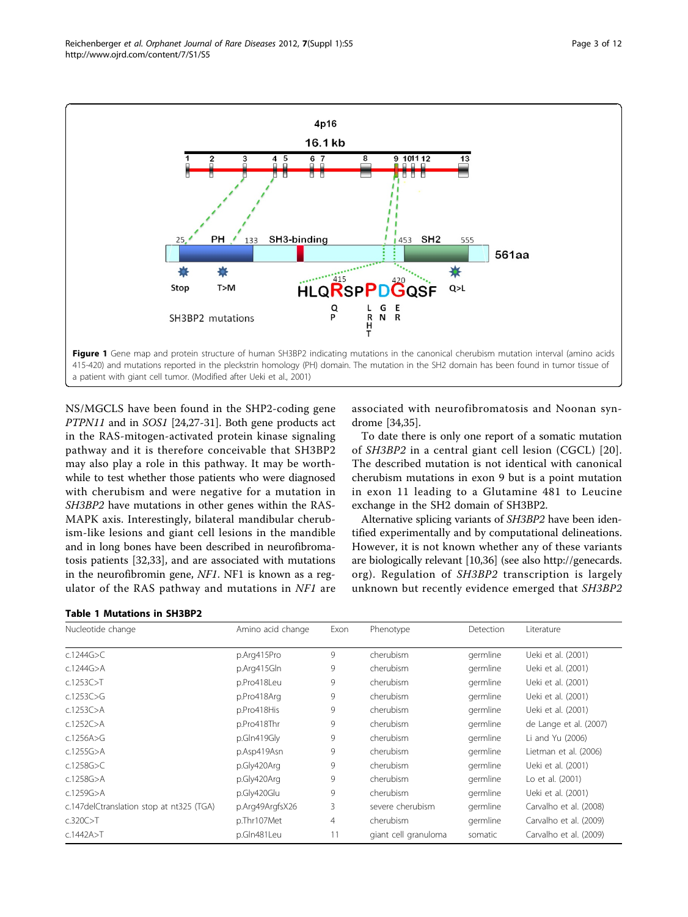<span id="page-2-0"></span>

NS/MGCLS have been found in the SHP2-coding gene PTPN11 and in SOS1 [\[24](#page-9-0)[,27](#page-10-0)-[31](#page-10-0)]. Both gene products act in the RAS-mitogen-activated protein kinase signaling pathway and it is therefore conceivable that SH3BP2 may also play a role in this pathway. It may be worthwhile to test whether those patients who were diagnosed with cherubism and were negative for a mutation in SH3BP2 have mutations in other genes within the RAS-MAPK axis. Interestingly, bilateral mandibular cherubism-like lesions and giant cell lesions in the mandible and in long bones have been described in neurofibromatosis patients [[32,33\]](#page-10-0), and are associated with mutations in the neurofibromin gene, NF1. NF1 is known as a regulator of the RAS pathway and mutations in  $NFI$  are



Table 1 Mutations in SH3BP2

associated with neurofibromatosis and Noonan syndrome [[34,35](#page-10-0)].

To date there is only one report of a somatic mutation of SH3BP2 in a central giant cell lesion (CGCL) [[20\]](#page-9-0). The described mutation is not identical with canonical cherubism mutations in exon 9 but is a point mutation in exon 11 leading to a Glutamine 481 to Leucine exchange in the SH2 domain of SH3BP2.

Alternative splicing variants of SH3BP2 have been identified experimentally and by computational delineations. However, it is not known whether any of these variants are biologically relevant [\[10](#page-9-0)[,36\]](#page-10-0) (see also [http://genecards.](http://genecards.org) [org](http://genecards.org)). Regulation of SH3BP2 transcription is largely unknown but recently evidence emerged that SH3BP2

| Nucleotide change                        | Amino acid change | Exon | Phenotype            | Detection | Literature             |
|------------------------------------------|-------------------|------|----------------------|-----------|------------------------|
| c.1244G $>$ C                            | p.Arg415Pro       | 9    | cherubism            | germline  | Ueki et al. (2001)     |
| c.1244G $>$ A                            | p.Arg415Gln       | 9    | cherubism            | germline  | Ueki et al. (2001)     |
| c.1253C > T                              | p.Pro418Leu       | 9    | cherubism            | germline  | Ueki et al. (2001)     |
| c.1253 $C>G$                             | p.Pro418Arg       | 9    | cherubism            | germline  | Ueki et al. (2001)     |
| $c.1253C$ >A                             | p.Pro418His       | 9    | cherubism            | germline  | Ueki et al. (2001)     |
| c.1252 $C$ >A                            | p.Pro418Thr       | 9    | cherubism            | germline  | de Lange et al. (2007) |
| c.1256A>G                                | p.Gln419Gly       | 9    | cherubism            | germline  | Li and Yu (2006)       |
| c.1255G $>$ A                            | p.Asp419Asn       | 9    | cherubism            | germline  | Lietman et al. (2006)  |
| c.1258G $>$ C                            | p.Gly420Arg       | 9    | cherubism            | germline  | Ueki et al. (2001)     |
| $c.1258G$ >A                             | p.Gly420Arg       | 9    | cherubism            | germline  | Lo et al. (2001)       |
| $c.1259G$ >A                             | p.Gly420Glu       | 9    | cherubism            | germline  | Ueki et al. (2001)     |
| c.147delCtranslation stop at nt325 (TGA) | p.Arg49ArgfsX26   | 3    | severe cherubism     | germline  | Carvalho et al. (2008) |
| c.320C > T                               | p.Thr107Met       | 4    | cherubism            | germline  | Carvalho et al. (2009) |
| c.1442A > T                              | p.Gln481Leu       | 11   | giant cell granuloma | somatic   | Carvalho et al. (2009) |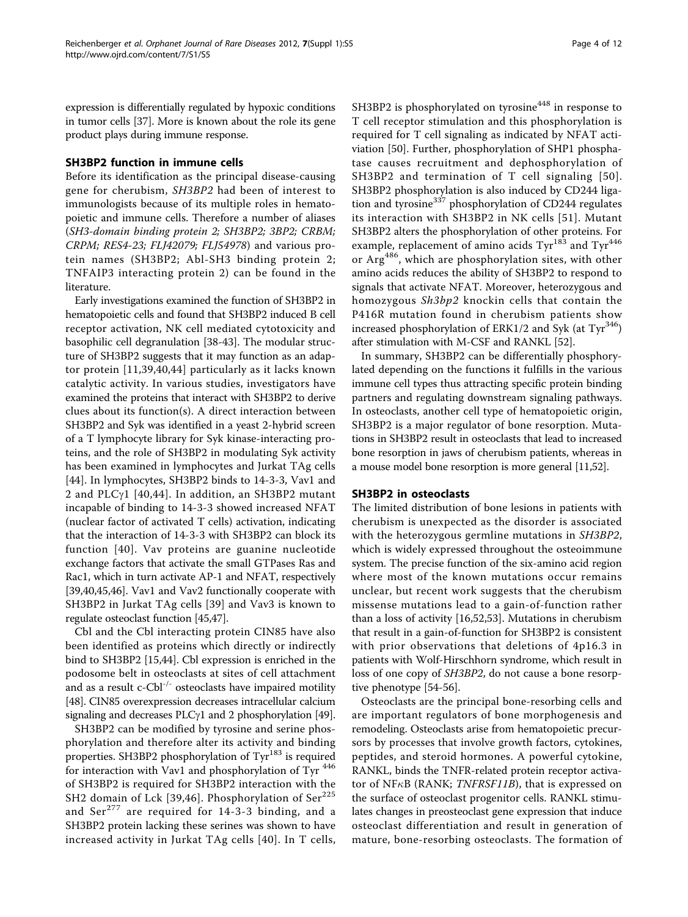expression is differentially regulated by hypoxic conditions in tumor cells [[37](#page-10-0)]. More is known about the role its gene product plays during immune response.

## SH3BP2 function in immune cells

Before its identification as the principal disease-causing gene for cherubism, SH3BP2 had been of interest to immunologists because of its multiple roles in hematopoietic and immune cells. Therefore a number of aliases (SH3-domain binding protein 2; SH3BP2; 3BP2; CRBM; CRPM; RES4-23; FLJ42079; FLJ54978) and various protein names (SH3BP2; Abl-SH3 binding protein 2; TNFAIP3 interacting protein 2) can be found in the literature.

Early investigations examined the function of SH3BP2 in hematopoietic cells and found that SH3BP2 induced B cell receptor activation, NK cell mediated cytotoxicity and basophilic cell degranulation [\[38-43](#page-10-0)]. The modular structure of SH3BP2 suggests that it may function as an adaptor protein [[11](#page-9-0),[39,40,44](#page-10-0)] particularly as it lacks known catalytic activity. In various studies, investigators have examined the proteins that interact with SH3BP2 to derive clues about its function(s). A direct interaction between SH3BP2 and Syk was identified in a yeast 2-hybrid screen of a T lymphocyte library for Syk kinase-interacting proteins, and the role of SH3BP2 in modulating Syk activity has been examined in lymphocytes and Jurkat TAg cells [[44\]](#page-10-0). In lymphocytes, SH3BP2 binds to 14-3-3, Vav1 and 2 and PLC $\gamma$ 1 [[40,44\]](#page-10-0). In addition, an SH3BP2 mutant incapable of binding to 14-3-3 showed increased NFAT (nuclear factor of activated T cells) activation, indicating that the interaction of 14-3-3 with SH3BP2 can block its function [[40\]](#page-10-0). Vav proteins are guanine nucleotide exchange factors that activate the small GTPases Ras and Rac1, which in turn activate AP-1 and NFAT, respectively [[39,40,45,46\]](#page-10-0). Vav1 and Vav2 functionally cooperate with SH3BP2 in Jurkat TAg cells [\[39](#page-10-0)] and Vav3 is known to regulate osteoclast function [[45,47\]](#page-10-0).

Cbl and the Cbl interacting protein CIN85 have also been identified as proteins which directly or indirectly bind to SH3BP2 [\[15,](#page-9-0)[44\]](#page-10-0). Cbl expression is enriched in the podosome belt in osteoclasts at sites of cell attachment and as a result c-Cbl<sup>-/-</sup> osteoclasts have impaired motility [[48](#page-10-0)]. CIN85 overexpression decreases intracellular calcium signaling and decreases PLC $\gamma$ 1 and 2 phosphorylation [[49](#page-10-0)].

SH3BP2 can be modified by tyrosine and serine phosphorylation and therefore alter its activity and binding properties. SH3BP2 phosphorylation of Tyr<sup>183</sup> is required for interaction with Vav1 and phosphorylation of Tyr<sup>446</sup> of SH3BP2 is required for SH3BP2 interaction with the SH2 domain of Lck [\[39,46\]](#page-10-0). Phosphorylation of Ser<sup>225</sup> and  $\text{Ser}^{277}$  are required for 14-3-3 binding, and a SH3BP2 protein lacking these serines was shown to have increased activity in Jurkat TAg cells [[40](#page-10-0)]. In T cells,

SH3BP2 is phosphorylated on tyrosine<sup>448</sup> in response to T cell receptor stimulation and this phosphorylation is required for T cell signaling as indicated by NFAT activiation [[50\]](#page-10-0). Further, phosphorylation of SHP1 phosphatase causes recruitment and dephosphorylation of SH3BP2 and termination of T cell signaling [[50\]](#page-10-0). SH3BP2 phosphorylation is also induced by CD244 ligation and tyrosine<sup>337</sup> phosphorylation of CD244 regulates its interaction with SH3BP2 in NK cells [[51](#page-10-0)]. Mutant SH3BP2 alters the phosphorylation of other proteins. For example, replacement of amino acids  $Tyr^{183}$  and  $Tyr^{446}$ or Arg486, which are phosphorylation sites, with other amino acids reduces the ability of SH3BP2 to respond to signals that activate NFAT. Moreover, heterozygous and homozygous Sh3bp2 knockin cells that contain the P416R mutation found in cherubism patients show increased phosphorylation of ERK1/2 and Syk (at  $\text{Tyr}^{346}$ ) after stimulation with M-CSF and RANKL [\[52\]](#page-10-0).

In summary, SH3BP2 can be differentially phosphorylated depending on the functions it fulfills in the various immune cell types thus attracting specific protein binding partners and regulating downstream signaling pathways. In osteoclasts, another cell type of hematopoietic origin, SH3BP2 is a major regulator of bone resorption. Mutations in SH3BP2 result in osteoclasts that lead to increased bone resorption in jaws of cherubism patients, whereas in a mouse model bone resorption is more general [\[11,](#page-9-0)[52](#page-10-0)].

# SH3BP2 in osteoclasts

The limited distribution of bone lesions in patients with cherubism is unexpected as the disorder is associated with the heterozygous germline mutations in SH3BP2, which is widely expressed throughout the osteoimmune system. The precise function of the six-amino acid region where most of the known mutations occur remains unclear, but recent work suggests that the cherubism missense mutations lead to a gain-of-function rather than a loss of activity [[16](#page-9-0),[52,53\]](#page-10-0). Mutations in cherubism that result in a gain-of-function for SH3BP2 is consistent with prior observations that deletions of 4p16.3 in patients with Wolf-Hirschhorn syndrome, which result in loss of one copy of SH3BP2, do not cause a bone resorptive phenotype [\[54](#page-10-0)-[56](#page-10-0)].

Osteoclasts are the principal bone-resorbing cells and are important regulators of bone morphogenesis and remodeling. Osteoclasts arise from hematopoietic precursors by processes that involve growth factors, cytokines, peptides, and steroid hormones. A powerful cytokine, RANKL, binds the TNFR-related protein receptor activator of NF $\kappa$ B (RANK; *TNFRSF11B*), that is expressed on the surface of osteoclast progenitor cells. RANKL stimulates changes in preosteoclast gene expression that induce osteoclast differentiation and result in generation of mature, bone-resorbing osteoclasts. The formation of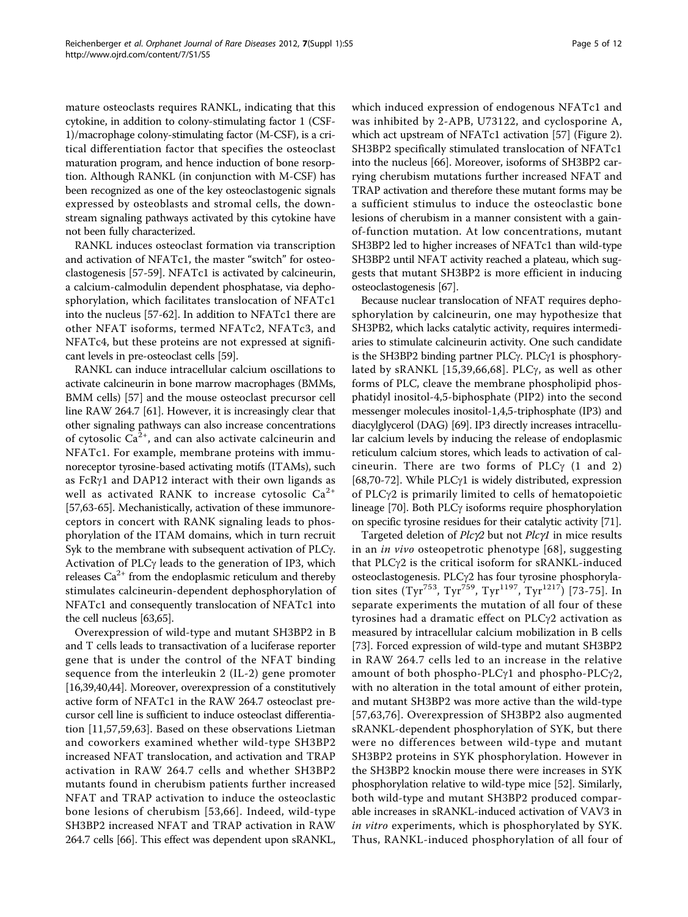mature osteoclasts requires RANKL, indicating that this cytokine, in addition to colony-stimulating factor 1 (CSF-1)/macrophage colony-stimulating factor (M-CSF), is a critical differentiation factor that specifies the osteoclast maturation program, and hence induction of bone resorption. Although RANKL (in conjunction with M-CSF) has been recognized as one of the key osteoclastogenic signals expressed by osteoblasts and stromal cells, the downstream signaling pathways activated by this cytokine have not been fully characterized.

RANKL induces osteoclast formation via transcription and activation of NFATc1, the master "switch" for osteoclastogenesis [[57](#page-10-0)-[59\]](#page-10-0). NFATc1 is activated by calcineurin, a calcium-calmodulin dependent phosphatase, via dephosphorylation, which facilitates translocation of NFATc1 into the nucleus [[57-62\]](#page-10-0). In addition to NFATc1 there are other NFAT isoforms, termed NFATc2, NFATc3, and NFATc4, but these proteins are not expressed at significant levels in pre-osteoclast cells [[59](#page-10-0)].

RANKL can induce intracellular calcium oscillations to activate calcineurin in bone marrow macrophages (BMMs, BMM cells) [[57\]](#page-10-0) and the mouse osteoclast precursor cell line RAW 264.7 [[61\]](#page-10-0). However, it is increasingly clear that other signaling pathways can also increase concentrations of cytosolic  $Ca^{2+}$ , and can also activate calcineurin and NFATc1. For example, membrane proteins with immunoreceptor tyrosine-based activating motifs (ITAMs), such as FcR $\gamma$ 1 and DAP12 interact with their own ligands as well as activated RANK to increase cytosolic  $Ca^{2+}$ [[57,63](#page-10-0)-[65](#page-10-0)]. Mechanistically, activation of these immunoreceptors in concert with RANK signaling leads to phosphorylation of the ITAM domains, which in turn recruit Syk to the membrane with subsequent activation of  $PLC\gamma$ . Activation of  $PLC\gamma$  leads to the generation of IP3, which releases  $Ca^{2+}$  from the endoplasmic reticulum and thereby stimulates calcineurin-dependent dephosphorylation of NFATc1 and consequently translocation of NFATc1 into the cell nucleus [\[63,65](#page-10-0)].

Overexpression of wild-type and mutant SH3BP2 in B and T cells leads to transactivation of a luciferase reporter gene that is under the control of the NFAT binding sequence from the interleukin 2 (IL-2) gene promoter [[16](#page-9-0),[39,40,44\]](#page-10-0). Moreover, overexpression of a constitutively active form of NFATc1 in the RAW 264.7 osteoclast precursor cell line is sufficient to induce osteoclast differentiation [[11,](#page-9-0)[57,59](#page-10-0),[63\]](#page-10-0). Based on these observations Lietman and coworkers examined whether wild-type SH3BP2 increased NFAT translocation, and activation and TRAP activation in RAW 264.7 cells and whether SH3BP2 mutants found in cherubism patients further increased NFAT and TRAP activation to induce the osteoclastic bone lesions of cherubism [\[53](#page-10-0),[66](#page-10-0)]. Indeed, wild-type SH3BP2 increased NFAT and TRAP activation in RAW 264.7 cells [\[66\]](#page-10-0). This effect was dependent upon sRANKL,

which induced expression of endogenous NFATc1 and was inhibited by 2-APB, U73122, and cyclosporine A, which act upstream of NFATc1 activation [\[57\]](#page-10-0) (Figure [2](#page-5-0)). SH3BP2 specifically stimulated translocation of NFATc1 into the nucleus [\[66\]](#page-10-0). Moreover, isoforms of SH3BP2 carrying cherubism mutations further increased NFAT and TRAP activation and therefore these mutant forms may be a sufficient stimulus to induce the osteoclastic bone lesions of cherubism in a manner consistent with a gainof-function mutation. At low concentrations, mutant SH3BP2 led to higher increases of NFATc1 than wild-type SH3BP2 until NFAT activity reached a plateau, which suggests that mutant SH3BP2 is more efficient in inducing osteoclastogenesis [\[67\]](#page-10-0).

Because nuclear translocation of NFAT requires dephosphorylation by calcineurin, one may hypothesize that SH3PB2, which lacks catalytic activity, requires intermediaries to stimulate calcineurin activity. One such candidate is the SH3BP2 binding partner PLC $\gamma$ . PLC $\gamma$ 1 is phosphory-lated by sRANKL [\[15,](#page-9-0)[39](#page-10-0),[66,68\]](#page-10-0). PLC $\gamma$ , as well as other forms of PLC, cleave the membrane phospholipid phosphatidyl inositol-4,5-biphosphate (PIP2) into the second messenger molecules inositol-1,4,5-triphosphate (IP3) and diacylglycerol (DAG) [[69](#page-11-0)]. IP3 directly increases intracellular calcium levels by inducing the release of endoplasmic reticulum calcium stores, which leads to activation of calcineurin. There are two forms of PLC $\gamma$  (1 and 2) [[68,](#page-10-0)[70-72](#page-11-0)]. While PLC $\gamma$ 1 is widely distributed, expression of PLC $\gamma$ 2 is primarily limited to cells of hematopoietic lineage [[70\]](#page-11-0). Both PLC $\gamma$  isoforms require phosphorylation on specific tyrosine residues for their catalytic activity [\[71\]](#page-11-0).

Targeted deletion of  $Plc\gamma2$  but not  $Plc\gamma1$  in mice results in an in vivo osteopetrotic phenotype [[68](#page-10-0)], suggesting that PLC $\gamma$ 2 is the critical isoform for sRANKL-induced osteoclastogenesis. PLC $\gamma$ 2 has four tyrosine phosphoryla-tion sites (Tyr<sup>753</sup>, Tyr<sup>759</sup>, Tyr<sup>1197</sup>, Tyr<sup>1217</sup>) [[73](#page-11-0)-[75\]](#page-11-0). In separate experiments the mutation of all four of these tyrosines had a dramatic effect on  $PLC\gamma2$  activation as measured by intracellular calcium mobilization in B cells [[73\]](#page-11-0). Forced expression of wild-type and mutant SH3BP2 in RAW 264.7 cells led to an increase in the relative amount of both phospho-PLC $\gamma$ 1 and phospho-PLC $\gamma$ 2, with no alteration in the total amount of either protein, and mutant SH3BP2 was more active than the wild-type [[57](#page-10-0),[63](#page-10-0)[,76\]](#page-11-0). Overexpression of SH3BP2 also augmented sRANKL-dependent phosphorylation of SYK, but there were no differences between wild-type and mutant SH3BP2 proteins in SYK phosphorylation. However in the SH3BP2 knockin mouse there were increases in SYK phosphorylation relative to wild-type mice [[52\]](#page-10-0). Similarly, both wild-type and mutant SH3BP2 produced comparable increases in sRANKL-induced activation of VAV3 in in vitro experiments, which is phosphorylated by SYK. Thus, RANKL-induced phosphorylation of all four of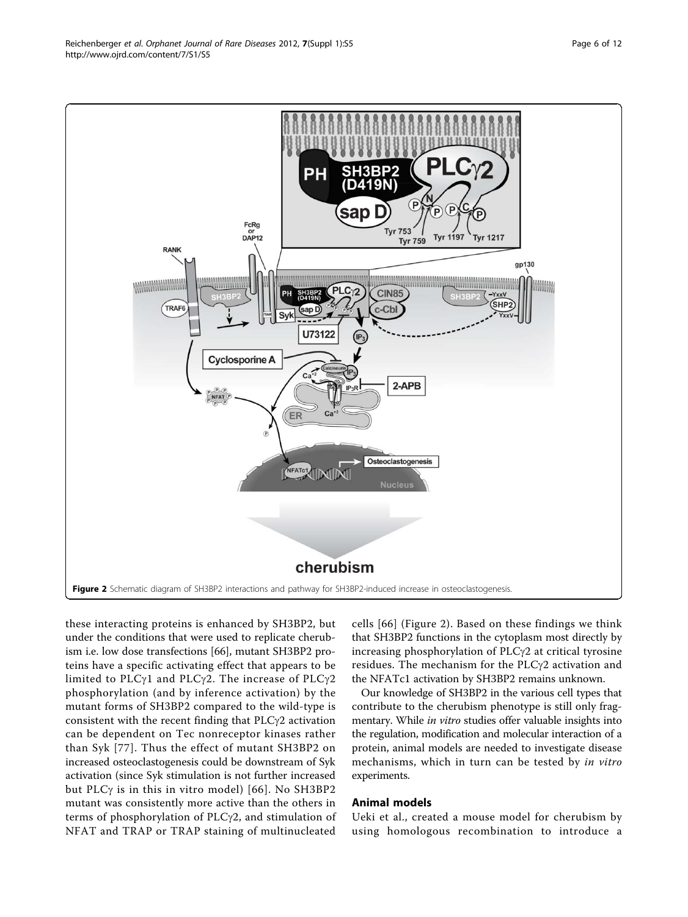these interacting proteins is enhanced by SH3BP2, but under the conditions that were used to replicate cherubism i.e. low dose transfections [[66](#page-10-0)], mutant SH3BP2 proteins have a specific activating effect that appears to be limited to PLC $\gamma$ 1 and PLC $\gamma$ 2. The increase of PLC $\gamma$ 2 phosphorylation (and by inference activation) by the mutant forms of SH3BP2 compared to the wild-type is consistent with the recent finding that  $PLC\gamma2$  activation can be dependent on Tec nonreceptor kinases rather than Syk [[77\]](#page-11-0). Thus the effect of mutant SH3BP2 on increased osteoclastogenesis could be downstream of Syk activation (since Syk stimulation is not further increased but PLC $\gamma$  is in this in vitro model) [[66\]](#page-10-0). No SH3BP2 mutant was consistently more active than the others in terms of phosphorylation of  $PLCy2$ , and stimulation of NFAT and TRAP or TRAP staining of multinucleated

cells [\[66\]](#page-10-0) (Figure 2). Based on these findings we think that SH3BP2 functions in the cytoplasm most directly by increasing phosphorylation of  $PLCy2$  at critical tyrosine residues. The mechanism for the  $PLCy2$  activation and the NFATc1 activation by SH3BP2 remains unknown.

Our knowledge of SH3BP2 in the various cell types that contribute to the cherubism phenotype is still only fragmentary. While in vitro studies offer valuable insights into the regulation, modification and molecular interaction of a protein, animal models are needed to investigate disease mechanisms, which in turn can be tested by in vitro experiments.

## Animal models

Ueki et al., created a mouse model for cherubism by using homologous recombination to introduce a

<span id="page-5-0"></span>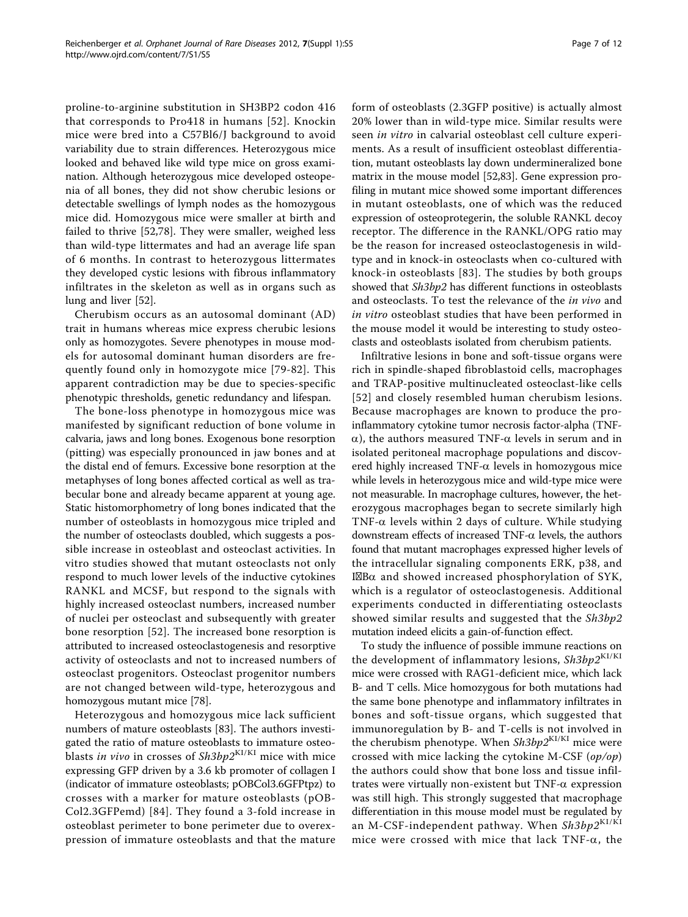proline-to-arginine substitution in SH3BP2 codon 416 that corresponds to Pro418 in humans [[52](#page-10-0)]. Knockin mice were bred into a C57Bl6/J background to avoid variability due to strain differences. Heterozygous mice looked and behaved like wild type mice on gross examination. Although heterozygous mice developed osteopenia of all bones, they did not show cherubic lesions or detectable swellings of lymph nodes as the homozygous mice did. Homozygous mice were smaller at birth and failed to thrive [[52,](#page-10-0)[78\]](#page-11-0). They were smaller, weighed less than wild-type littermates and had an average life span of 6 months. In contrast to heterozygous littermates they developed cystic lesions with fibrous inflammatory infiltrates in the skeleton as well as in organs such as lung and liver [\[52\]](#page-10-0).

Cherubism occurs as an autosomal dominant (AD) trait in humans whereas mice express cherubic lesions only as homozygotes. Severe phenotypes in mouse models for autosomal dominant human disorders are frequently found only in homozygote mice [[79](#page-11-0)-[82](#page-11-0)]. This apparent contradiction may be due to species-specific phenotypic thresholds, genetic redundancy and lifespan.

The bone-loss phenotype in homozygous mice was manifested by significant reduction of bone volume in calvaria, jaws and long bones. Exogenous bone resorption (pitting) was especially pronounced in jaw bones and at the distal end of femurs. Excessive bone resorption at the metaphyses of long bones affected cortical as well as trabecular bone and already became apparent at young age. Static histomorphometry of long bones indicated that the number of osteoblasts in homozygous mice tripled and the number of osteoclasts doubled, which suggests a possible increase in osteoblast and osteoclast activities. In vitro studies showed that mutant osteoclasts not only respond to much lower levels of the inductive cytokines RANKL and MCSF, but respond to the signals with highly increased osteoclast numbers, increased number of nuclei per osteoclast and subsequently with greater bone resorption [[52](#page-10-0)]. The increased bone resorption is attributed to increased osteoclastogenesis and resorptive activity of osteoclasts and not to increased numbers of osteoclast progenitors. Osteoclast progenitor numbers are not changed between wild-type, heterozygous and homozygous mutant mice [[78\]](#page-11-0).

Heterozygous and homozygous mice lack sufficient numbers of mature osteoblasts [\[83](#page-11-0)]. The authors investigated the ratio of mature osteoblasts to immature osteoblasts in vivo in crosses of  $Sh3bp2^{K1/KI}$  mice with mice expressing GFP driven by a 3.6 kb promoter of collagen I (indicator of immature osteoblasts; pOBCol3.6GFPtpz) to crosses with a marker for mature osteoblasts (pOB-Col2.3GFPemd) [[84](#page-11-0)]. They found a 3-fold increase in osteoblast perimeter to bone perimeter due to overexpression of immature osteoblasts and that the mature form of osteoblasts (2.3GFP positive) is actually almost 20% lower than in wild-type mice. Similar results were seen in vitro in calvarial osteoblast cell culture experiments. As a result of insufficient osteoblast differentiation, mutant osteoblasts lay down undermineralized bone matrix in the mouse model [\[52](#page-10-0)[,83\]](#page-11-0). Gene expression profiling in mutant mice showed some important differences in mutant osteoblasts, one of which was the reduced expression of osteoprotegerin, the soluble RANKL decoy receptor. The difference in the RANKL/OPG ratio may be the reason for increased osteoclastogenesis in wildtype and in knock-in osteoclasts when co-cultured with knock-in osteoblasts [\[83\]](#page-11-0). The studies by both groups showed that Sh3bp2 has different functions in osteoblasts and osteoclasts. To test the relevance of the in vivo and in vitro osteoblast studies that have been performed in the mouse model it would be interesting to study osteoclasts and osteoblasts isolated from cherubism patients.

Infiltrative lesions in bone and soft-tissue organs were rich in spindle-shaped fibroblastoid cells, macrophages and TRAP-positive multinucleated osteoclast-like cells [[52\]](#page-10-0) and closely resembled human cherubism lesions. Because macrophages are known to produce the proinflammatory cytokine tumor necrosis factor-alpha (TNF- $\alpha$ ), the authors measured TNF- $\alpha$  levels in serum and in isolated peritoneal macrophage populations and discovered highly increased TNF- $\alpha$  levels in homozygous mice while levels in heterozygous mice and wild-type mice were not measurable. In macrophage cultures, however, the heterozygous macrophages began to secrete similarly high TNF- $\alpha$  levels within 2 days of culture. While studying downstream effects of increased TNF- $\alpha$  levels, the authors found that mutant macrophages expressed higher levels of the intracellular signaling components ERK, p38, and I $\mathbb{Z}\mathbb{B}\alpha$  and showed increased phosphorylation of SYK, which is a regulator of osteoclastogenesis. Additional experiments conducted in differentiating osteoclasts showed similar results and suggested that the Sh3bp2 mutation indeed elicits a gain-of-function effect.

To study the influence of possible immune reactions on the development of inflammatory lesions,  $\mathit{Sh3bp2}^{\text{KI/KI}}$ mice were crossed with RAG1-deficient mice, which lack B- and T cells. Mice homozygous for both mutations had the same bone phenotype and inflammatory infiltrates in bones and soft-tissue organs, which suggested that immunoregulation by B- and T-cells is not involved in the cherubism phenotype. When Sh3bp2KI/KI mice were crossed with mice lacking the cytokine M-CSF (op/op) the authors could show that bone loss and tissue infiltrates were virtually non-existent but  $TNF-\alpha$  expression was still high. This strongly suggested that macrophage differentiation in this mouse model must be regulated by an M-CSF-independent pathway. When  $\mathit{Sh3bp2}^{\text{KI/KI}}$ mice were crossed with mice that lack TNF- $\alpha$ , the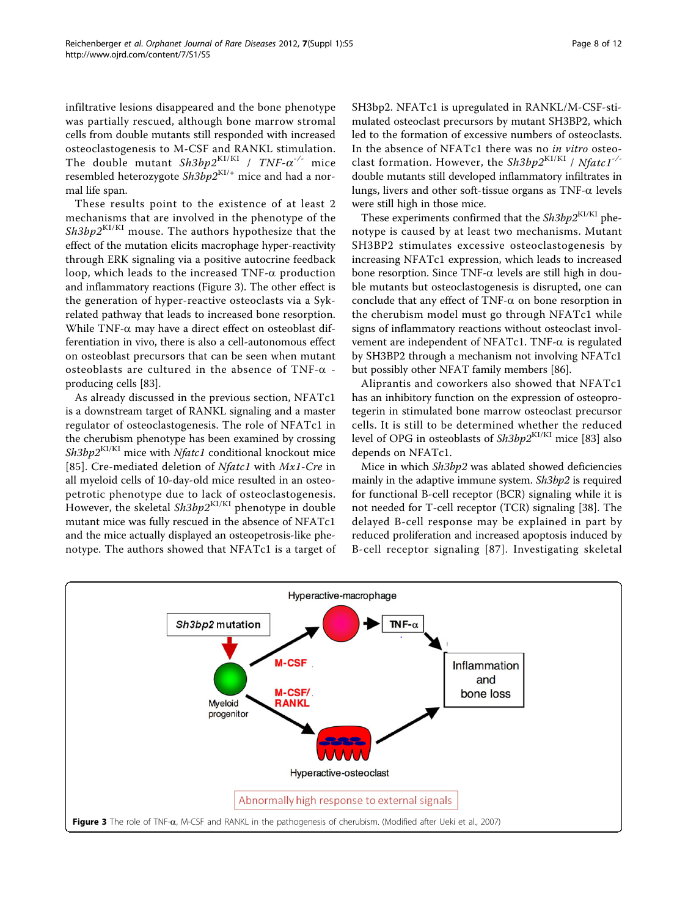infiltrative lesions disappeared and the bone phenotype was partially rescued, although bone marrow stromal cells from double mutants still responded with increased osteoclastogenesis to M-CSF and RANKL stimulation. The double mutant  $Sh3bp2^{K1/KI}$  /  $TNF-\alpha^{-/-}$  mice resembled heterozygote  $Sh3bp2^{K1/+}$  mice and had a normal life span.

These results point to the existence of at least 2 mechanisms that are involved in the phenotype of the  $Sh3bp2^{K1/KI}$  mouse. The authors hypothesize that the effect of the mutation elicits macrophage hyper-reactivity through ERK signaling via a positive autocrine feedback loop, which leads to the increased  $TNF-\alpha$  production and inflammatory reactions (Figure 3). The other effect is the generation of hyper-reactive osteoclasts via a Sykrelated pathway that leads to increased bone resorption. While TNF- $\alpha$  may have a direct effect on osteoblast differentiation in vivo, there is also a cell-autonomous effect on osteoblast precursors that can be seen when mutant osteoblasts are cultured in the absence of TNF- $\alpha$  producing cells [\[83](#page-11-0)].

As already discussed in the previous section, NFATc1 is a downstream target of RANKL signaling and a master regulator of osteoclastogenesis. The role of NFATc1 in the cherubism phenotype has been examined by crossing  $Sh3bp2^{K1/KI}$  mice with *Nfatc1* conditional knockout mice [[85](#page-11-0)]. Cre-mediated deletion of Nfatc1 with Mx1-Cre in all myeloid cells of 10-day-old mice resulted in an osteopetrotic phenotype due to lack of osteoclastogenesis. However, the skeletal  $Sh3bp2^{K1/KI}$  phenotype in double mutant mice was fully rescued in the absence of NFATc1 and the mice actually displayed an osteopetrosis-like phenotype. The authors showed that NFATc1 is a target of SH3bp2. NFATc1 is upregulated in RANKL/M-CSF-stimulated osteoclast precursors by mutant SH3BP2, which led to the formation of excessive numbers of osteoclasts. In the absence of NFATc1 there was no in vitro osteoclast formation. However, the  $Sh3bp2^{K1/K1}$  / Nfatc1<sup>-/-</sup> double mutants still developed inflammatory infiltrates in lungs, livers and other soft-tissue organs as TNF- $\alpha$  levels were still high in those mice.

These experiments confirmed that the  $\mathit{Sh3bp2}^{\rm KI/KI}$  phenotype is caused by at least two mechanisms. Mutant SH3BP2 stimulates excessive osteoclastogenesis by increasing NFATc1 expression, which leads to increased bone resorption. Since TNF- $\alpha$  levels are still high in double mutants but osteoclastogenesis is disrupted, one can conclude that any effect of TNF- $\alpha$  on bone resorption in the cherubism model must go through NFATc1 while signs of inflammatory reactions without osteoclast involvement are independent of NFATc1. TNF- $\alpha$  is regulated by SH3BP2 through a mechanism not involving NFATc1 but possibly other NFAT family members [[86\]](#page-11-0).

Aliprantis and coworkers also showed that NFATc1 has an inhibitory function on the expression of osteoprotegerin in stimulated bone marrow osteoclast precursor cells. It is still to be determined whether the reduced level of OPG in osteoblasts of Sh3bp2KI/KI mice [[83\]](#page-11-0) also depends on NFATc1.

Mice in which Sh3bp2 was ablated showed deficiencies mainly in the adaptive immune system. Sh3bp2 is required for functional B-cell receptor (BCR) signaling while it is not needed for T-cell receptor (TCR) signaling [[38\]](#page-10-0). The delayed B-cell response may be explained in part by reduced proliferation and increased apoptosis induced by B-cell receptor signaling [\[87](#page-11-0)]. Investigating skeletal

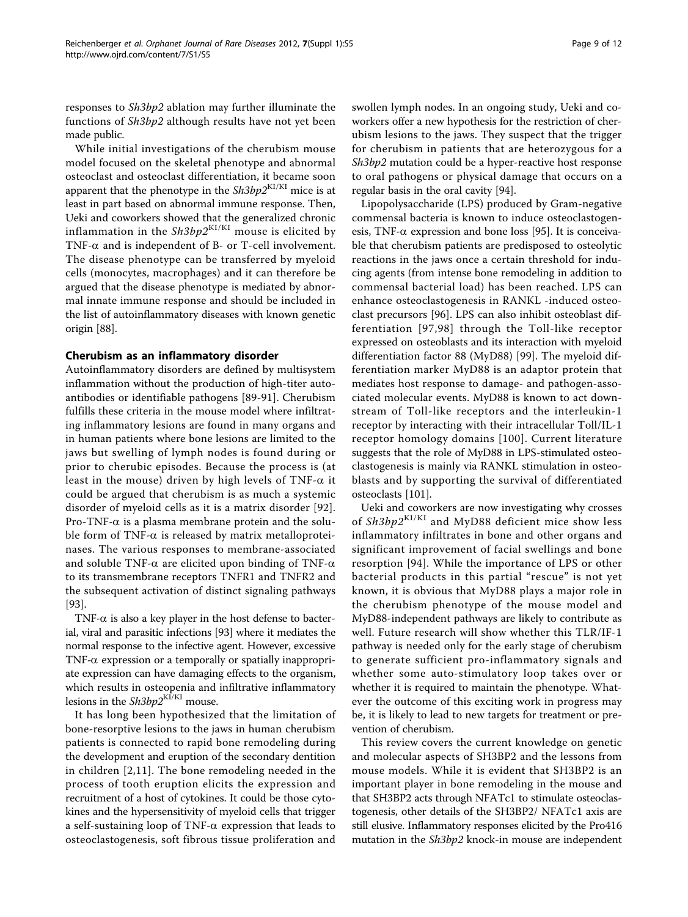responses to Sh3bp2 ablation may further illuminate the functions of Sh3bp2 although results have not yet been made public.

While initial investigations of the cherubism mouse model focused on the skeletal phenotype and abnormal osteoclast and osteoclast differentiation, it became soon apparent that the phenotype in the  $\mathit{Sh3bp2}^{\text{KI/KI}}$  mice is at least in part based on abnormal immune response. Then, Ueki and coworkers showed that the generalized chronic inflammation in the  $Sh3bp2^{KI/KI}$  mouse is elicited by TNF- $\alpha$  and is independent of B- or T-cell involvement. The disease phenotype can be transferred by myeloid cells (monocytes, macrophages) and it can therefore be argued that the disease phenotype is mediated by abnormal innate immune response and should be included in the list of autoinflammatory diseases with known genetic origin [\[88](#page-11-0)].

## Cherubism as an inflammatory disorder

Autoinflammatory disorders are defined by multisystem inflammation without the production of high-titer autoantibodies or identifiable pathogens [\[89-91](#page-11-0)]. Cherubism fulfills these criteria in the mouse model where infiltrating inflammatory lesions are found in many organs and in human patients where bone lesions are limited to the jaws but swelling of lymph nodes is found during or prior to cherubic episodes. Because the process is (at least in the mouse) driven by high levels of TNF- $\alpha$  it could be argued that cherubism is as much a systemic disorder of myeloid cells as it is a matrix disorder [[92\]](#page-11-0). Pro-TNF- $\alpha$  is a plasma membrane protein and the soluble form of TNF- $\alpha$  is released by matrix metalloproteinases. The various responses to membrane-associated and soluble TNF- $\alpha$  are elicited upon binding of TNF- $\alpha$ to its transmembrane receptors TNFR1 and TNFR2 and the subsequent activation of distinct signaling pathways [[93\]](#page-11-0).

TNF- $\alpha$  is also a key player in the host defense to bacterial, viral and parasitic infections [\[93\]](#page-11-0) where it mediates the normal response to the infective agent. However, excessive TNF- $\alpha$  expression or a temporally or spatially inappropriate expression can have damaging effects to the organism, which results in osteopenia and infiltrative inflammatory lesions in the  $Sh3bp2^{KI/KI}$  mouse.

It has long been hypothesized that the limitation of bone-resorptive lesions to the jaws in human cherubism patients is connected to rapid bone remodeling during the development and eruption of the secondary dentition in children [[2](#page-9-0),[11\]](#page-9-0). The bone remodeling needed in the process of tooth eruption elicits the expression and recruitment of a host of cytokines. It could be those cytokines and the hypersensitivity of myeloid cells that trigger a self-sustaining loop of TNF- $\alpha$  expression that leads to osteoclastogenesis, soft fibrous tissue proliferation and

swollen lymph nodes. In an ongoing study, Ueki and coworkers offer a new hypothesis for the restriction of cherubism lesions to the jaws. They suspect that the trigger for cherubism in patients that are heterozygous for a Sh3bp2 mutation could be a hyper-reactive host response to oral pathogens or physical damage that occurs on a regular basis in the oral cavity [\[94\]](#page-11-0).

Lipopolysaccharide (LPS) produced by Gram-negative commensal bacteria is known to induce osteoclastogenesis, TNF- $\alpha$  expression and bone loss [[95](#page-11-0)]. It is conceivable that cherubism patients are predisposed to osteolytic reactions in the jaws once a certain threshold for inducing agents (from intense bone remodeling in addition to commensal bacterial load) has been reached. LPS can enhance osteoclastogenesis in RANKL -induced osteoclast precursors [\[96](#page-11-0)]. LPS can also inhibit osteoblast differentiation [[97](#page-11-0),[98\]](#page-11-0) through the Toll-like receptor expressed on osteoblasts and its interaction with myeloid differentiation factor 88 (MyD88) [\[99](#page-11-0)]. The myeloid differentiation marker MyD88 is an adaptor protein that mediates host response to damage- and pathogen-associated molecular events. MyD88 is known to act downstream of Toll-like receptors and the interleukin-1 receptor by interacting with their intracellular Toll/IL-1 receptor homology domains [[100\]](#page-11-0). Current literature suggests that the role of MyD88 in LPS-stimulated osteoclastogenesis is mainly via RANKL stimulation in osteoblasts and by supporting the survival of differentiated osteoclasts [\[101\]](#page-11-0).

Ueki and coworkers are now investigating why crosses of  $Sh3bp2^{K1/KI}$  and MyD88 deficient mice show less inflammatory infiltrates in bone and other organs and significant improvement of facial swellings and bone resorption [[94\]](#page-11-0). While the importance of LPS or other bacterial products in this partial "rescue" is not yet known, it is obvious that MyD88 plays a major role in the cherubism phenotype of the mouse model and MyD88-independent pathways are likely to contribute as well. Future research will show whether this TLR/IF-1 pathway is needed only for the early stage of cherubism to generate sufficient pro-inflammatory signals and whether some auto-stimulatory loop takes over or whether it is required to maintain the phenotype. Whatever the outcome of this exciting work in progress may be, it is likely to lead to new targets for treatment or prevention of cherubism.

This review covers the current knowledge on genetic and molecular aspects of SH3BP2 and the lessons from mouse models. While it is evident that SH3BP2 is an important player in bone remodeling in the mouse and that SH3BP2 acts through NFATc1 to stimulate osteoclastogenesis, other details of the SH3BP2/ NFATc1 axis are still elusive. Inflammatory responses elicited by the Pro416 mutation in the Sh3bp2 knock-in mouse are independent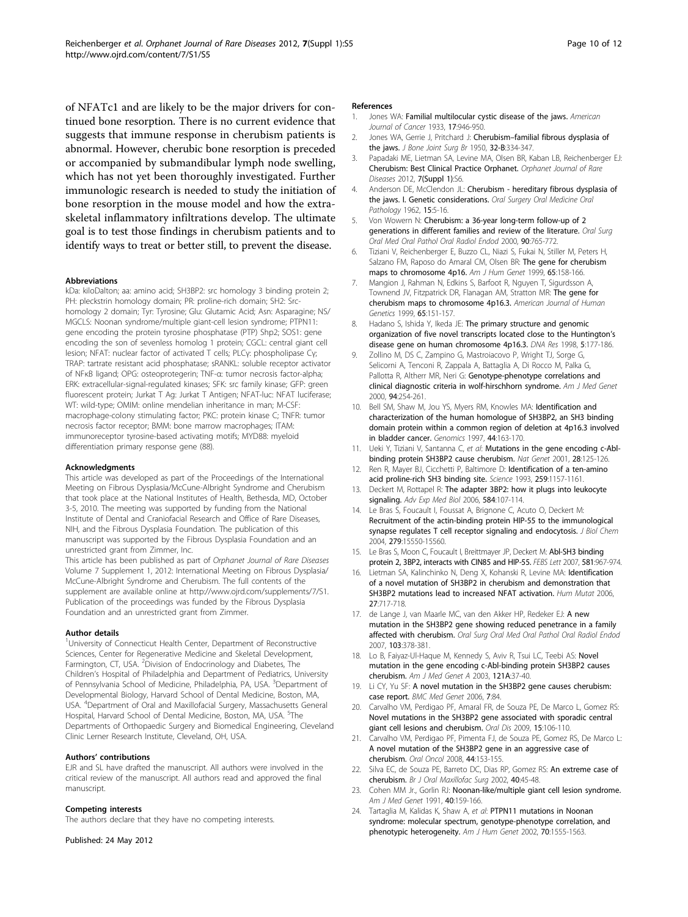<span id="page-9-0"></span>or accompanied by submandibular lymph node swelling, which has not yet been thoroughly investigated. Further immunologic research is needed to study the initiation of bone resorption in the mouse model and how the extraskeletal inflammatory infiltrations develop. The ultimate goal is to test those findings in cherubism patients and to identify ways to treat or better still, to prevent the disease.

#### Abbreviations

kDa: kiloDalton; aa: amino acid; SH3BP2: src homology 3 binding protein 2; PH: pleckstrin homology domain; PR: proline-rich domain; SH2: Srchomology 2 domain; Tyr: Tyrosine; Glu: Glutamic Acid; Asn: Asparagine; NS/ MGCLS: Noonan syndrome/multiple giant-cell lesion syndrome; PTPN11: gene encoding the protein tyrosine phosphatase (PTP) Shp2; SOS1: gene encoding the son of sevenless homolog 1 protein; CGCL: central giant cell lesion; NFAT: nuclear factor of activated T cells; PLCγ: phospholipase Cγ; TRAP: tartrate resistant acid phosphatase; sRANKL: soluble receptor activator of NFκB ligand; OPG: osteoprotegerin; TNF-α: tumor necrosis factor-alpha; ERK: extracellular-signal-regulated kinases; SFK: src family kinase; GFP: green fluorescent protein; Jurkat T Ag: Jurkat T Antigen; NFAT-luc: NFAT luciferase; WT: wild-type; OMIM: online mendelian inheritance in man; M-CSF: macrophage-colony stimulating factor; PKC: protein kinase C; TNFR: tumor necrosis factor receptor; BMM: bone marrow macrophages; ITAM: immunoreceptor tyrosine-based activating motifs; MYD88: myeloid differentiation primary response gene (88).

#### Acknowledgments

This article was developed as part of the Proceedings of the International Meeting on Fibrous Dysplasia/McCune-Albright Syndrome and Cherubism that took place at the National Institutes of Health, Bethesda, MD, October 3-5, 2010. The meeting was supported by funding from the National Institute of Dental and Craniofacial Research and Office of Rare Diseases, NIH, and the Fibrous Dysplasia Foundation. The publication of this manuscript was supported by the Fibrous Dysplasia Foundation and an unrestricted grant from Zimmer, Inc.

This article has been published as part of Orphanet Journal of Rare Diseases Volume 7 Supplement 1, 2012: International Meeting on Fibrous Dysplasia/ McCune-Albright Syndrome and Cherubism. The full contents of the supplement are available online at<http://www.ojrd.com/supplements/7/S1>. Publication of the proceedings was funded by the Fibrous Dysplasia Foundation and an unrestricted grant from Zimmer.

#### Author details

<sup>1</sup>University of Connecticut Health Center, Department of Reconstructive Sciences, Center for Regenerative Medicine and Skeletal Development, Farmington, CT, USA. <sup>2</sup>Division of Endocrinology and Diabetes, The Children's Hospital of Philadelphia and Department of Pediatrics, University of Pennsylvania School of Medicine, Philadelphia, PA, USA. <sup>3</sup>Department of Developmental Biology, Harvard School of Dental Medicine, Boston, MA, USA. <sup>4</sup>Department of Oral and Maxillofacial Surgery, Massachusetts General Hospital, Harvard School of Dental Medicine, Boston, MA, USA. <sup>5</sup>The Departments of Orthopaedic Surgery and Biomedical Engineering, Cleveland Clinic Lerner Research Institute, Cleveland, OH, USA.

#### Authors' contributions

EJR and SL have drafted the manuscript. All authors were involved in the critical review of the manuscript. All authors read and approved the final manuscript.

#### Competing interests

The authors declare that they have no competing interests.

Published: 24 May 2012

#### References

- 1. Jones WA: Familial multilocular cystic disease of the jaws. American Journal of Cancer 1933, 17:946-950.
- 2. Jones WA, Gerrie J, Pritchard J: Cherubism-[familial fibrous dysplasia of](http://www.ncbi.nlm.nih.gov/pubmed/14778852?dopt=Abstract) [the jaws.](http://www.ncbi.nlm.nih.gov/pubmed/14778852?dopt=Abstract) *J Bone Joint Surg Br* 1950, 32-B:334-347.
- Papadaki ME, Lietman SA, Levine MA, Olsen BR, Kaban LB, Reichenberger EJ: Cherubism: Best Clinical Practice Orphanet. Orphanet Journal of Rare Diseases 2012, 7(Suppl 1):S6.
- 4. Anderson DE, McClendon JL: Cherubism hereditary fibrous dysplasia of the jaws. I. Genetic considerations. Oral Surgery Oral Medicine Oral Pathology 1962, 15:5-16.
- 5. Von Wowern N: [Cherubism: a 36-year long-term follow-up of 2](http://www.ncbi.nlm.nih.gov/pubmed/11113824?dopt=Abstract) [generations in different families and review of the literature.](http://www.ncbi.nlm.nih.gov/pubmed/11113824?dopt=Abstract) Oral Surg Oral Med Oral Pathol Oral Radiol Endod 2000, 90:765-772.
- 6. Tiziani V, Reichenberger E, Buzzo CL, Niazi S, Fukai N, Stiller M, Peters H, Salzano FM, Raposo do Amaral CM, Olsen BR: [The gene for cherubism](http://www.ncbi.nlm.nih.gov/pubmed/10364528?dopt=Abstract) [maps to chromosome 4p16.](http://www.ncbi.nlm.nih.gov/pubmed/10364528?dopt=Abstract) Am J Hum Genet 1999, 65:158-166.
- 7. Mangion J, Rahman N, Edkins S, Barfoot R, Nguyen T, Sigurdsson A, Townend JV, Fitzpatrick DR, Flanagan AM, Stratton MR: [The gene for](http://www.ncbi.nlm.nih.gov/pubmed/10364527?dopt=Abstract) [cherubism maps to chromosome 4p16.3.](http://www.ncbi.nlm.nih.gov/pubmed/10364527?dopt=Abstract) American Journal of Human Genetics 1999, 65:151-157.
- 8. Hadano S, Ishida Y, Ikeda JE: [The primary structure and genomic](http://www.ncbi.nlm.nih.gov/pubmed/9734812?dopt=Abstract) [organization of five novel transcripts located close to the Huntington](http://www.ncbi.nlm.nih.gov/pubmed/9734812?dopt=Abstract)'s [disease gene on human chromosome 4p16.3.](http://www.ncbi.nlm.nih.gov/pubmed/9734812?dopt=Abstract) DNA Res 1998, 5:177-186.
- Zollino M, DS C, Zampino G, Mastroiacovo P, Wright TJ, Sorge G, Selicorni A, Tenconi R, Zappala A, Battaglia A, Di Rocco M, Palka G, Pallotta R, Altherr MR, Neri G: [Genotype-phenotype correlations and](http://www.ncbi.nlm.nih.gov/pubmed/10995514?dopt=Abstract) [clinical diagnostic criteria in wolf-hirschhorn syndrome.](http://www.ncbi.nlm.nih.gov/pubmed/10995514?dopt=Abstract) Am J Med Genet 2000, 94:254-261.
- 10. Bell SM, Shaw M, Jou YS, Myers RM, Knowles MA: [Identification and](http://www.ncbi.nlm.nih.gov/pubmed/9299232?dopt=Abstract) [characterization of the human homologue of SH3BP2, an SH3 binding](http://www.ncbi.nlm.nih.gov/pubmed/9299232?dopt=Abstract) [domain protein within a common region of deletion at 4p16.3 involved](http://www.ncbi.nlm.nih.gov/pubmed/9299232?dopt=Abstract) [in bladder cancer.](http://www.ncbi.nlm.nih.gov/pubmed/9299232?dopt=Abstract) Genomics 1997, 44:163-170.
- 11. Ueki Y, Tiziani V, Santanna C, et al: [Mutations in the gene encoding c-Abl](http://www.ncbi.nlm.nih.gov/pubmed/11381256?dopt=Abstract)[binding protein SH3BP2 cause cherubism.](http://www.ncbi.nlm.nih.gov/pubmed/11381256?dopt=Abstract) Nat Genet 2001, 28:125-126.
- 12. Ren R, Mayer BJ, Cicchetti P, Baltimore D: [Identification of a ten-amino](http://www.ncbi.nlm.nih.gov/pubmed/8438166?dopt=Abstract) [acid proline-rich SH3 binding site.](http://www.ncbi.nlm.nih.gov/pubmed/8438166?dopt=Abstract) Science 1993, 259:1157-1161.
- 13. Deckert M, Rottapel R: [The adapter 3BP2: how it plugs into leukocyte](http://www.ncbi.nlm.nih.gov/pubmed/16802602?dopt=Abstract) [signaling.](http://www.ncbi.nlm.nih.gov/pubmed/16802602?dopt=Abstract) Adv Exp Med Biol 2006, 584:107-114.
- 14. Le Bras S, Foucault I, Foussat A, Brignone C, Acuto O, Deckert M: [Recruitment of the actin-binding protein HIP-55 to the immunological](http://www.ncbi.nlm.nih.gov/pubmed/14729663?dopt=Abstract) [synapse regulates T cell receptor signaling and endocytosis.](http://www.ncbi.nlm.nih.gov/pubmed/14729663?dopt=Abstract) J Biol Chem 2004, 279:15550-15560.
- 15. Le Bras S, Moon C, Foucault I, Breittmayer JP, Deckert M: [Abl-SH3 binding](http://www.ncbi.nlm.nih.gov/pubmed/17306257?dopt=Abstract) [protein 2, 3BP2, interacts with CIN85 and HIP-55.](http://www.ncbi.nlm.nih.gov/pubmed/17306257?dopt=Abstract) FEBS Lett 2007, 581:967-974.
- 16. Lietman SA, Kalinchinko N, Deng X, Kohanski R, Levine MA: [Identification](http://www.ncbi.nlm.nih.gov/pubmed/16786512?dopt=Abstract) [of a novel mutation of SH3BP2 in cherubism and demonstration that](http://www.ncbi.nlm.nih.gov/pubmed/16786512?dopt=Abstract) [SH3BP2 mutations lead to increased NFAT activation.](http://www.ncbi.nlm.nih.gov/pubmed/16786512?dopt=Abstract) Hum Mutat 2006, 27:717-718.
- 17. de Lange J, van Maarle MC, van den Akker HP, Redeker EJ: [A new](http://www.ncbi.nlm.nih.gov/pubmed/17321449?dopt=Abstract) [mutation in the SH3BP2 gene showing reduced penetrance in a family](http://www.ncbi.nlm.nih.gov/pubmed/17321449?dopt=Abstract) [affected with cherubism.](http://www.ncbi.nlm.nih.gov/pubmed/17321449?dopt=Abstract) Oral Surg Oral Med Oral Pathol Oral Radiol Endod 2007, 103:378-381.
- 18. Lo B, Faiyaz-Ul-Haque M, Kennedy S, Aviv R, Tsui LC, Teebi AS: [Novel](http://www.ncbi.nlm.nih.gov/pubmed/12900899?dopt=Abstract) [mutation in the gene encoding c-Abl-binding protein SH3BP2 causes](http://www.ncbi.nlm.nih.gov/pubmed/12900899?dopt=Abstract) [cherubism.](http://www.ncbi.nlm.nih.gov/pubmed/12900899?dopt=Abstract) Am J Med Genet A 2003, 121A:37-40.
- 19. Li CY, Yu SF: [A novel mutation in the SH3BP2 gene causes cherubism:](http://www.ncbi.nlm.nih.gov/pubmed/17147794?dopt=Abstract) [case report.](http://www.ncbi.nlm.nih.gov/pubmed/17147794?dopt=Abstract) BMC Med Genet 2006, 7:84.
- 20. Carvalho VM, Perdigao PF, Amaral FR, de Souza PE, De Marco L, Gomez RS: [Novel mutations in the SH3BP2 gene associated with sporadic central](http://www.ncbi.nlm.nih.gov/pubmed/19017279?dopt=Abstract) [giant cell lesions and cherubism.](http://www.ncbi.nlm.nih.gov/pubmed/19017279?dopt=Abstract) Oral Dis 2009, 15:106-110.
- 21. Carvalho VM, Perdigao PF, Pimenta FJ, de Souza PE, Gomez RS, De Marco L: [A novel mutation of the SH3BP2 gene in an aggressive case of](http://www.ncbi.nlm.nih.gov/pubmed/17368082?dopt=Abstract) [cherubism.](http://www.ncbi.nlm.nih.gov/pubmed/17368082?dopt=Abstract) Oral Oncol 2008, 44:153-155.
- 22. Silva EC, de Souza PE, Barreto DC, Dias RP, Gomez RS: [An extreme case of](http://www.ncbi.nlm.nih.gov/pubmed/11883969?dopt=Abstract) [cherubism.](http://www.ncbi.nlm.nih.gov/pubmed/11883969?dopt=Abstract) Br J Oral Maxillofac Surg 2002, 40:45-48.
- 23. Cohen MM Jr., Gorlin RJ: [Noonan-like/multiple giant cell lesion syndrome.](http://www.ncbi.nlm.nih.gov/pubmed/1897569?dopt=Abstract) Am J Med Genet 1991, 40:159-166.
- 24. Tartaglia M, Kalidas K, Shaw A, et al: [PTPN11 mutations in Noonan](http://www.ncbi.nlm.nih.gov/pubmed/11992261?dopt=Abstract) [syndrome: molecular spectrum, genotype-phenotype correlation, and](http://www.ncbi.nlm.nih.gov/pubmed/11992261?dopt=Abstract) [phenotypic heterogeneity.](http://www.ncbi.nlm.nih.gov/pubmed/11992261?dopt=Abstract) Am J Hum Genet 2002, 70:1555-1563.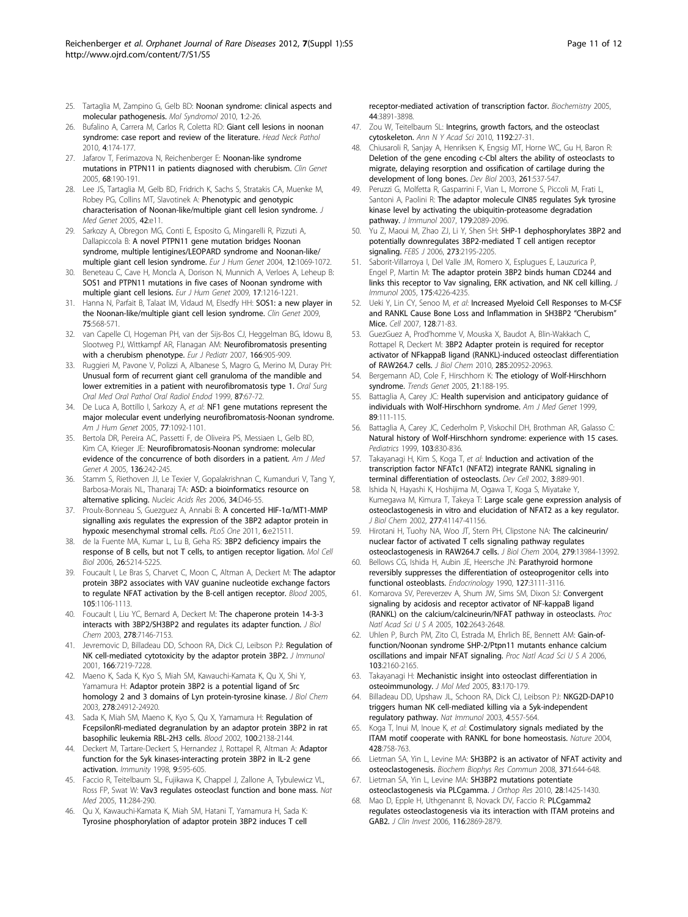- <span id="page-10-0"></span>25. Tartaglia M, Zampino G, Gelb BD: [Noonan syndrome: clinical aspects and](http://www.ncbi.nlm.nih.gov/pubmed/20648242?dopt=Abstract) [molecular pathogenesis.](http://www.ncbi.nlm.nih.gov/pubmed/20648242?dopt=Abstract) Mol Syndromol 2010, 1:2-26.
- 26. Bufalino A, Carrera M, Carlos R, Coletta RD: [Giant cell lesions in noonan](http://www.ncbi.nlm.nih.gov/pubmed/20383758?dopt=Abstract) [syndrome: case report and review of the literature.](http://www.ncbi.nlm.nih.gov/pubmed/20383758?dopt=Abstract) Head Neck Pathol 2010, 4:174-177.
- 27. Jafarov T, Ferimazova N, Reichenberger E: [Noonan-like syndrome](http://www.ncbi.nlm.nih.gov/pubmed/15996221?dopt=Abstract) [mutations in PTPN11 in patients diagnosed with cherubism.](http://www.ncbi.nlm.nih.gov/pubmed/15996221?dopt=Abstract) Clin Genet 2005, 68:190-191.
- 28. Lee JS, Tartaglia M, Gelb BD, Fridrich K, Sachs S, Stratakis CA, Muenke M, Robey PG, Collins MT, Slavotinek A: [Phenotypic and genotypic](http://www.ncbi.nlm.nih.gov/pubmed/15689434?dopt=Abstract) [characterisation of Noonan-like/multiple giant cell lesion syndrome.](http://www.ncbi.nlm.nih.gov/pubmed/15689434?dopt=Abstract) J Med Genet 2005, 42:e11.
- 29. Sarkozy A, Obregon MG, Conti E, Esposito G, Mingarelli R, Pizzuti A, Dallapiccola B: [A novel PTPN11 gene mutation bridges Noonan](http://www.ncbi.nlm.nih.gov/pubmed/15470362?dopt=Abstract) [syndrome, multiple lentigines/LEOPARD syndrome and Noonan-like/](http://www.ncbi.nlm.nih.gov/pubmed/15470362?dopt=Abstract) [multiple giant cell lesion syndrome.](http://www.ncbi.nlm.nih.gov/pubmed/15470362?dopt=Abstract) Eur J Hum Genet 2004, 12:1069-1072.
- 30. Beneteau C, Cave H, Moncla A, Dorison N, Munnich A, Verloes A, Leheup B: [SOS1 and PTPN11 mutations in five cases of Noonan syndrome with](http://www.ncbi.nlm.nih.gov/pubmed/19352411?dopt=Abstract) [multiple giant cell lesions.](http://www.ncbi.nlm.nih.gov/pubmed/19352411?dopt=Abstract) Eur J Hum Genet 2009, 17:1216-1221.
- 31. Hanna N, Parfait B, Talaat IM, Vidaud M, Elsedfy HH: [SOS1: a new player in](http://www.ncbi.nlm.nih.gov/pubmed/19438935?dopt=Abstract) [the Noonan-like/multiple giant cell lesion syndrome.](http://www.ncbi.nlm.nih.gov/pubmed/19438935?dopt=Abstract) Clin Genet 2009, 75:568-571.
- 32. van Capelle CI, Hogeman PH, van der Sijs-Bos CJ, Heggelman BG, Idowu B, Slootweg PJ, Wittkampf AR, Flanagan AM: [Neurofibromatosis presenting](http://www.ncbi.nlm.nih.gov/pubmed/17120035?dopt=Abstract) [with a cherubism phenotype.](http://www.ncbi.nlm.nih.gov/pubmed/17120035?dopt=Abstract) Eur J Pediatr 2007, 166:905-909.
- 33. Ruggieri M, Pavone V, Polizzi A, Albanese S, Magro G, Merino M, Duray PH: [Unusual form of recurrent giant cell granuloma of the mandible and](http://www.ncbi.nlm.nih.gov/pubmed/9927083?dopt=Abstract) [lower extremities in a patient with neurofibromatosis type 1.](http://www.ncbi.nlm.nih.gov/pubmed/9927083?dopt=Abstract) Oral Surg Oral Med Oral Pathol Oral Radiol Endod 1999, 87:67-72.
- 34. De Luca A, Bottillo I, Sarkozy A, et al: [NF1 gene mutations represent the](http://www.ncbi.nlm.nih.gov/pubmed/16380919?dopt=Abstract) [major molecular event underlying neurofibromatosis-Noonan syndrome.](http://www.ncbi.nlm.nih.gov/pubmed/16380919?dopt=Abstract) Am J Hum Genet 2005, 77:1092-1101.
- 35. Bertola DR, Pereira AC, Passetti F, de Oliveira PS, Messiaen L, Gelb BD, Kim CA, Krieger JE: [Neurofibromatosis-Noonan syndrome: molecular](http://www.ncbi.nlm.nih.gov/pubmed/15948193?dopt=Abstract) [evidence of the concurrence of both disorders in a patient.](http://www.ncbi.nlm.nih.gov/pubmed/15948193?dopt=Abstract) Am J Med Genet A 2005, 136:242-245.
- 36. Stamm S, Riethoven JJ, Le Texier V, Gopalakrishnan C, Kumanduri V, Tang Y, Barbosa-Morais NL, Thanaraj TA: [ASD: a bioinformatics resource on](http://www.ncbi.nlm.nih.gov/pubmed/16381912?dopt=Abstract) [alternative splicing.](http://www.ncbi.nlm.nih.gov/pubmed/16381912?dopt=Abstract) Nucleic Acids Res 2006, 34:D46-55.
- 37. Proulx-Bonneau S, Guezquez A, Annabi B: [A concerted HIF-1](http://www.ncbi.nlm.nih.gov/pubmed/21738685?dopt=Abstract)a/MT1-MMP [signalling axis regulates the expression of the 3BP2 adaptor protein in](http://www.ncbi.nlm.nih.gov/pubmed/21738685?dopt=Abstract) [hypoxic mesenchymal stromal cells.](http://www.ncbi.nlm.nih.gov/pubmed/21738685?dopt=Abstract) PLoS One 2011, 6:e21511.
- 38. de la Fuente MA, Kumar L, Lu B, Geha RS: [3BP2 deficiency impairs the](http://www.ncbi.nlm.nih.gov/pubmed/16809760?dopt=Abstract) [response of B cells, but not T cells, to antigen receptor ligation.](http://www.ncbi.nlm.nih.gov/pubmed/16809760?dopt=Abstract) Mol Cell Biol 2006, 26:5214-5225.
- 39. Foucault I, Le Bras S, Charvet C, Moon C, Altman A, Deckert M: [The adaptor](http://www.ncbi.nlm.nih.gov/pubmed/15345594?dopt=Abstract) [protein 3BP2 associates with VAV guanine nucleotide exchange factors](http://www.ncbi.nlm.nih.gov/pubmed/15345594?dopt=Abstract) [to regulate NFAT activation by the B-cell antigen receptor.](http://www.ncbi.nlm.nih.gov/pubmed/15345594?dopt=Abstract) Blood 2005, 105:1106-1113.
- 40. Foucault I, Liu YC, Bernard A, Deckert M: [The chaperone protein 14-3-3](http://www.ncbi.nlm.nih.gov/pubmed/12501243?dopt=Abstract) [interacts with 3BP2/SH3BP2 and regulates its adapter function.](http://www.ncbi.nlm.nih.gov/pubmed/12501243?dopt=Abstract) J Biol Chem 2003, 278:7146-7153.
- 41. Jevremovic D, Billadeau DD, Schoon RA, Dick CJ, Leibson PJ: [Regulation of](http://www.ncbi.nlm.nih.gov/pubmed/11390470?dopt=Abstract) [NK cell-mediated cytotoxicity by the adaptor protein 3BP2.](http://www.ncbi.nlm.nih.gov/pubmed/11390470?dopt=Abstract) J Immunol 2001, 166:7219-7228.
- 42. Maeno K, Sada K, Kyo S, Miah SM, Kawauchi-Kamata K, Qu X, Shi Y, Yamamura H: [Adaptor protein 3BP2 is a potential ligand of Src](http://www.ncbi.nlm.nih.gov/pubmed/12709437?dopt=Abstract) [homology 2 and 3 domains of Lyn protein-tyrosine kinase.](http://www.ncbi.nlm.nih.gov/pubmed/12709437?dopt=Abstract) J Biol Chem 2003, 278:24912-24920.
- 43. Sada K, Miah SM, Maeno K, Kyo S, Qu X, Yamamura H: [Regulation of](http://www.ncbi.nlm.nih.gov/pubmed/12200378?dopt=Abstract) [FcepsilonRI-mediated degranulation by an adaptor protein 3BP2 in rat](http://www.ncbi.nlm.nih.gov/pubmed/12200378?dopt=Abstract) [basophilic leukemia RBL-2H3 cells.](http://www.ncbi.nlm.nih.gov/pubmed/12200378?dopt=Abstract) Blood 2002, 100:2138-2144.
- 44. Deckert M, Tartare-Deckert S, Hernandez J, Rottapel R, Altman A: [Adaptor](http://www.ncbi.nlm.nih.gov/pubmed/9846481?dopt=Abstract) [function for the Syk kinases-interacting protein 3BP2 in IL-2 gene](http://www.ncbi.nlm.nih.gov/pubmed/9846481?dopt=Abstract) [activation.](http://www.ncbi.nlm.nih.gov/pubmed/9846481?dopt=Abstract) Immunity 1998, 9:595-605.
- 45. Faccio R, Teitelbaum SL, Fujikawa K, Chappel J, Zallone A, Tybulewicz VL, Ross FP, Swat W: [Vav3 regulates osteoclast function and bone mass.](http://www.ncbi.nlm.nih.gov/pubmed/15711558?dopt=Abstract) Nat Med 2005, 11:284-290.
- 46. Qu X, Kawauchi-Kamata K, Miah SM, Hatani T, Yamamura H, Sada K: [Tyrosine phosphorylation of adaptor protein 3BP2 induces T cell](http://www.ncbi.nlm.nih.gov/pubmed/15751964?dopt=Abstract)

[receptor-mediated activation of transcription factor.](http://www.ncbi.nlm.nih.gov/pubmed/15751964?dopt=Abstract) Biochemistry 2005, 44:3891-3898.

- 47. Zou W, Teitelbaum SL: [Integrins, growth factors, and the osteoclast](http://www.ncbi.nlm.nih.gov/pubmed/20392214?dopt=Abstract) [cytoskeleton.](http://www.ncbi.nlm.nih.gov/pubmed/20392214?dopt=Abstract) Ann N Y Acad Sci 2010, 1192:27-31.
- 48. Chiusaroli R, Sanjay A, Henriksen K, Engsig MT, Horne WC, Gu H, Baron R: [Deletion of the gene encoding c-Cbl alters the ability of osteoclasts to](http://www.ncbi.nlm.nih.gov/pubmed/14499658?dopt=Abstract) [migrate, delaying resorption and ossification of cartilage during the](http://www.ncbi.nlm.nih.gov/pubmed/14499658?dopt=Abstract) [development of long bones.](http://www.ncbi.nlm.nih.gov/pubmed/14499658?dopt=Abstract) Dev Biol 2003, 261:537-547.
- 49. Peruzzi G, Molfetta R, Gasparrini F, Vian L, Morrone S, Piccoli M, Frati L, Santoni A, Paolini R: [The adaptor molecule CIN85 regulates Syk tyrosine](http://www.ncbi.nlm.nih.gov/pubmed/17675467?dopt=Abstract) [kinase level by activating the ubiquitin-proteasome degradation](http://www.ncbi.nlm.nih.gov/pubmed/17675467?dopt=Abstract) [pathway.](http://www.ncbi.nlm.nih.gov/pubmed/17675467?dopt=Abstract) J Immunol 2007, 179:2089-2096.
- 50. Yu Z, Maoui M, Zhao ZJ, Li Y, Shen SH: [SHP-1 dephosphorylates 3BP2 and](http://www.ncbi.nlm.nih.gov/pubmed/16649996?dopt=Abstract) [potentially downregulates 3BP2-mediated T cell antigen receptor](http://www.ncbi.nlm.nih.gov/pubmed/16649996?dopt=Abstract) [signaling.](http://www.ncbi.nlm.nih.gov/pubmed/16649996?dopt=Abstract) FEBS J 2006, 273:2195-2205.
- 51. Saborit-Villarroya I, Del Valle JM, Romero X, Esplugues E, Lauzurica P, Engel P, Martin M: [The adaptor protein 3BP2 binds human CD244 and](http://www.ncbi.nlm.nih.gov/pubmed/16177062?dopt=Abstract) links [this receptor to Vav signaling, ERK activation, and NK cell killing.](http://www.ncbi.nlm.nih.gov/pubmed/16177062?dopt=Abstract) J Immunol 2005, 175:4226-4235.
- 52. Ueki Y, Lin CY, Senoo M, et al: [Increased Myeloid Cell Responses to M-CSF](http://www.ncbi.nlm.nih.gov/pubmed/17218256?dopt=Abstract) [and RANKL Cause Bone Loss and Inflammation in SH3BP2](http://www.ncbi.nlm.nih.gov/pubmed/17218256?dopt=Abstract) "Cherubism" [Mice.](http://www.ncbi.nlm.nih.gov/pubmed/17218256?dopt=Abstract) Cell 2007, 128:71-83.
- 53. GuezGuez A, Prod'homme V, Mouska X, Baudot A, Blin-Wakkach C, Rottapel R, Deckert M: [3BP2 Adapter protein is required for receptor](http://www.ncbi.nlm.nih.gov/pubmed/20439986?dopt=Abstract) [activator of NFkappaB ligand \(RANKL\)-induced osteoclast differentiation](http://www.ncbi.nlm.nih.gov/pubmed/20439986?dopt=Abstract) [of RAW264.7 cells.](http://www.ncbi.nlm.nih.gov/pubmed/20439986?dopt=Abstract) J Biol Chem 2010, 285:20952-20963.
- Bergemann AD, Cole F, Hirschhorn K: [The etiology of Wolf-Hirschhorn](http://www.ncbi.nlm.nih.gov/pubmed/15734578?dopt=Abstract) [syndrome.](http://www.ncbi.nlm.nih.gov/pubmed/15734578?dopt=Abstract) Trends Genet 2005, 21:188-195.
- Battaglia A, Carey JC: [Health supervision and anticipatory guidance of](http://www.ncbi.nlm.nih.gov/pubmed/10559766?dopt=Abstract) [individuals with Wolf-Hirschhorn syndrome.](http://www.ncbi.nlm.nih.gov/pubmed/10559766?dopt=Abstract) Am J Med Genet 1999, 89:111-115.
- 56. Battaglia A, Carey JC, Cederholm P, Viskochil DH, Brothman AR, Galasso C: [Natural history of Wolf-Hirschhorn syndrome: experience with 15 cases.](http://www.ncbi.nlm.nih.gov/pubmed/10103318?dopt=Abstract) Pediatrics 1999, 103:830-836.
- 57. Takayanagi H, Kim S, Koga T, et al: [Induction and activation of the](http://www.ncbi.nlm.nih.gov/pubmed/12479813?dopt=Abstract) [transcription factor NFATc1 \(NFAT2\) integrate RANKL signaling in](http://www.ncbi.nlm.nih.gov/pubmed/12479813?dopt=Abstract) [terminal differentiation of osteoclasts.](http://www.ncbi.nlm.nih.gov/pubmed/12479813?dopt=Abstract) Dev Cell 2002, 3:889-901.
- 58. Ishida N, Hayashi K, Hoshijima M, Ogawa T, Koga S, Miyatake Y, Kumegawa M, Kimura T, Takeya T: [Large scale gene expression analysis of](http://www.ncbi.nlm.nih.gov/pubmed/12171919?dopt=Abstract) [osteoclastogenesis in vitro and elucidation of NFAT2 as a key regulator.](http://www.ncbi.nlm.nih.gov/pubmed/12171919?dopt=Abstract) J Biol Chem 2002, 277:41147-41156.
- 59. Hirotani H, Tuohy NA, Woo JT, Stern PH, Clipstone NA: [The calcineurin/](http://www.ncbi.nlm.nih.gov/pubmed/14722106?dopt=Abstract) [nuclear factor of activated T cells signaling pathway regulates](http://www.ncbi.nlm.nih.gov/pubmed/14722106?dopt=Abstract) [osteoclastogenesis in RAW264.7 cells.](http://www.ncbi.nlm.nih.gov/pubmed/14722106?dopt=Abstract) J Biol Chem 2004, 279:13984-13992.
- 60. Bellows CG, Ishida H, Aubin JE, Heersche JN: [Parathyroid hormone](http://www.ncbi.nlm.nih.gov/pubmed/2174346?dopt=Abstract) [reversibly suppresses the differentiation of osteoprogenitor cells into](http://www.ncbi.nlm.nih.gov/pubmed/2174346?dopt=Abstract) [functional osteoblasts.](http://www.ncbi.nlm.nih.gov/pubmed/2174346?dopt=Abstract) Endocrinology 1990, 127:3111-3116.
- 61. Komarova SV, Pereverzev A, Shum JW, Sims SM, Dixon SJ: [Convergent](http://www.ncbi.nlm.nih.gov/pubmed/15695591?dopt=Abstract) [signaling by acidosis and receptor activator of NF-kappaB ligand](http://www.ncbi.nlm.nih.gov/pubmed/15695591?dopt=Abstract) [\(RANKL\) on the calcium/calcineurin/NFAT pathway in osteoclasts.](http://www.ncbi.nlm.nih.gov/pubmed/15695591?dopt=Abstract) Proc Natl Acad Sci U S A 2005, 102:2643-2648.
- 62. Uhlen P, Burch PM, Zito CI, Estrada M, Ehrlich BE, Bennett AM: [Gain-of](http://www.ncbi.nlm.nih.gov/pubmed/16461457?dopt=Abstract)[function/Noonan syndrome SHP-2/Ptpn11 mutants enhance calcium](http://www.ncbi.nlm.nih.gov/pubmed/16461457?dopt=Abstract) [oscillations and impair NFAT signaling.](http://www.ncbi.nlm.nih.gov/pubmed/16461457?dopt=Abstract) Proc Natl Acad Sci U S A 2006, 103:2160-2165.
- 63. Takayanagi H: [Mechanistic insight into osteoclast differentiation in](http://www.ncbi.nlm.nih.gov/pubmed/15776286?dopt=Abstract) [osteoimmunology.](http://www.ncbi.nlm.nih.gov/pubmed/15776286?dopt=Abstract) J Mol Med 2005, 83:170-179.
- 64. Billadeau DD, Upshaw JL, Schoon RA, Dick CJ, Leibson PJ: [NKG2D-DAP10](http://www.ncbi.nlm.nih.gov/pubmed/12740575?dopt=Abstract) [triggers human NK cell-mediated killing via a Syk-independent](http://www.ncbi.nlm.nih.gov/pubmed/12740575?dopt=Abstract) [regulatory pathway.](http://www.ncbi.nlm.nih.gov/pubmed/12740575?dopt=Abstract) Nat Immunol 2003, 4:557-564.
- 65. Koga T, Inui M, Inoue K, et al: [Costimulatory signals mediated by the](http://www.ncbi.nlm.nih.gov/pubmed/15085135?dopt=Abstract) [ITAM motif cooperate with RANKL for bone homeostasis.](http://www.ncbi.nlm.nih.gov/pubmed/15085135?dopt=Abstract) Nature 2004, 428:758-763.
- 66. Lietman SA, Yin L, Levine MA: [SH3BP2 is an activator of NFAT activity and](http://www.ncbi.nlm.nih.gov/pubmed/18440306?dopt=Abstract) [osteoclastogenesis.](http://www.ncbi.nlm.nih.gov/pubmed/18440306?dopt=Abstract) Biochem Biophys Res Commun 2008, 371:644-648.
- 67. Lietman SA, Yin L, Levine MA: [SH3BP2 mutations potentiate](http://www.ncbi.nlm.nih.gov/pubmed/20872577?dopt=Abstract) [osteoclastogenesis via PLCgamma.](http://www.ncbi.nlm.nih.gov/pubmed/20872577?dopt=Abstract) J Orthop Res 2010, 28:1425-1430.
- Mao D, Epple H, Uthgenannt B, Novack DV, Faccio R: [PLCgamma2](http://www.ncbi.nlm.nih.gov/pubmed/17053833?dopt=Abstract) [regulates osteoclastogenesis via its interaction with ITAM proteins and](http://www.ncbi.nlm.nih.gov/pubmed/17053833?dopt=Abstract) [GAB2.](http://www.ncbi.nlm.nih.gov/pubmed/17053833?dopt=Abstract) J Clin Invest 2006, 116:2869-2879.